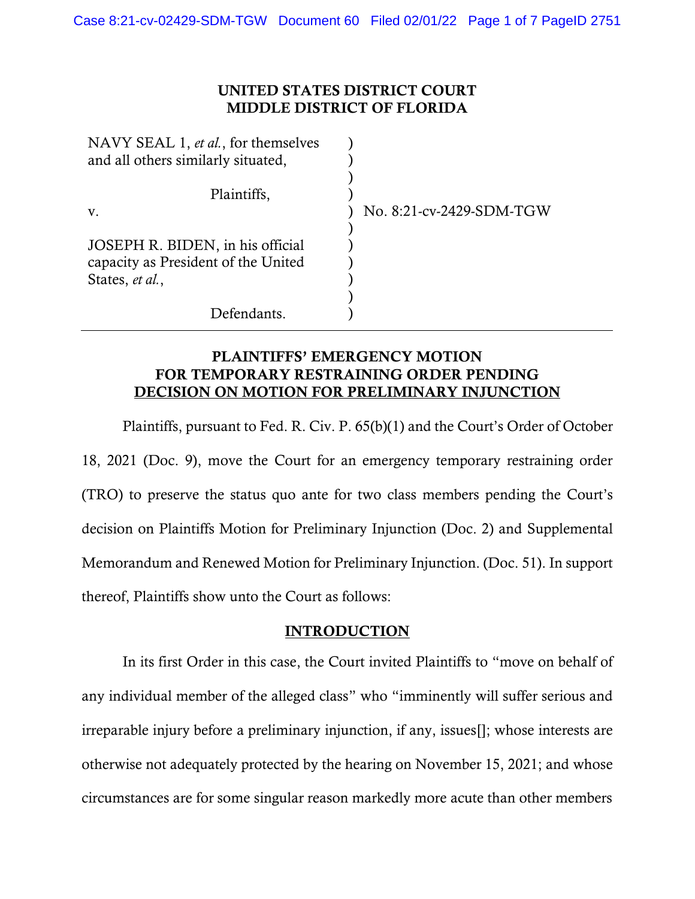## UNITED STATES DISTRICT COURT MIDDLE DISTRICT OF FLORIDA

| NAVY SEAL 1, et al., for themselves |                          |
|-------------------------------------|--------------------------|
| and all others similarly situated,  |                          |
|                                     |                          |
| Plaintiffs,                         |                          |
| V.                                  | No. 8:21-cv-2429-SDM-TGW |
|                                     |                          |
| JOSEPH R. BIDEN, in his official    |                          |
| capacity as President of the United |                          |
| States, et al.,                     |                          |
|                                     |                          |
| Defendants.                         |                          |

## PLAINTIFFS' EMERGENCY MOTION FOR TEMPORARY RESTRAINING ORDER PENDING DECISION ON MOTION FOR PRELIMINARY INJUNCTION

Plaintiffs, pursuant to Fed. R. Civ. P. 65(b)(1) and the Court's Order of October 18, 2021 (Doc. 9), move the Court for an emergency temporary restraining order (TRO) to preserve the status quo ante for two class members pending the Court's decision on Plaintiffs Motion for Preliminary Injunction (Doc. 2) and Supplemental Memorandum and Renewed Motion for Preliminary Injunction. (Doc. 51). In support thereof, Plaintiffs show unto the Court as follows:

## INTRODUCTION

In its first Order in this case, the Court invited Plaintiffs to "move on behalf of any individual member of the alleged class" who "imminently will suffer serious and irreparable injury before a preliminary injunction, if any, issues[]; whose interests are otherwise not adequately protected by the hearing on November 15, 2021; and whose circumstances are for some singular reason markedly more acute than other members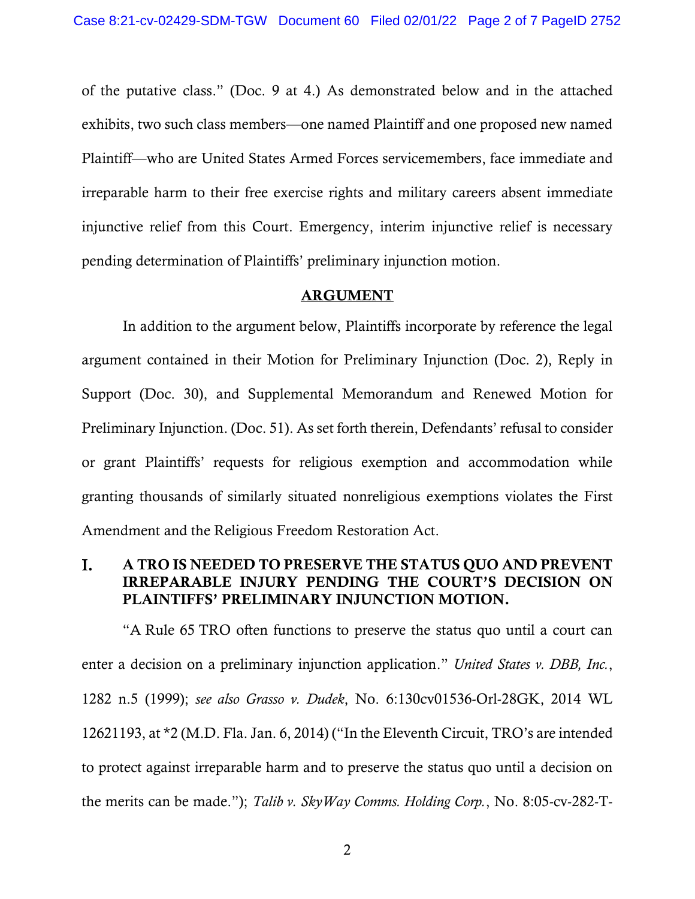of the putative class." (Doc. 9 at 4.) As demonstrated below and in the attached exhibits, two such class members—one named Plaintiff and one proposed new named Plaintiff—who are United States Armed Forces servicemembers, face immediate and irreparable harm to their free exercise rights and military careers absent immediate injunctive relief from this Court. Emergency, interim injunctive relief is necessary pending determination of Plaintiffs' preliminary injunction motion.

#### ARGUMENT

In addition to the argument below, Plaintiffs incorporate by reference the legal argument contained in their Motion for Preliminary Injunction (Doc. 2), Reply in Support (Doc. 30), and Supplemental Memorandum and Renewed Motion for Preliminary Injunction. (Doc. 51). As set forth therein, Defendants' refusal to consider or grant Plaintiffs' requests for religious exemption and accommodation while granting thousands of similarly situated nonreligious exemptions violates the First Amendment and the Religious Freedom Restoration Act.

#### I. A TRO IS NEEDED TO PRESERVE THE STATUS QUO AND PREVENT IRREPARABLE INJURY PENDING THE COURT'S DECISION ON PLAINTIFFS' PRELIMINARY INJUNCTION MOTION.

"A Rule 65 TRO often functions to preserve the status quo until a court can enter a decision on a preliminary injunction application." *United States v. DBB, Inc.*, 1282 n.5 (1999); *see also Grasso v. Dudek*, No. 6:130cv01536-Orl-28GK, 2014 WL 12621193, at \*2 (M.D. Fla. Jan. 6, 2014) ("In the Eleventh Circuit, TRO's are intended to protect against irreparable harm and to preserve the status quo until a decision on the merits can be made."); *Talib v. SkyWay Comms. Holding Corp.*, No. 8:05-cv-282-T-

2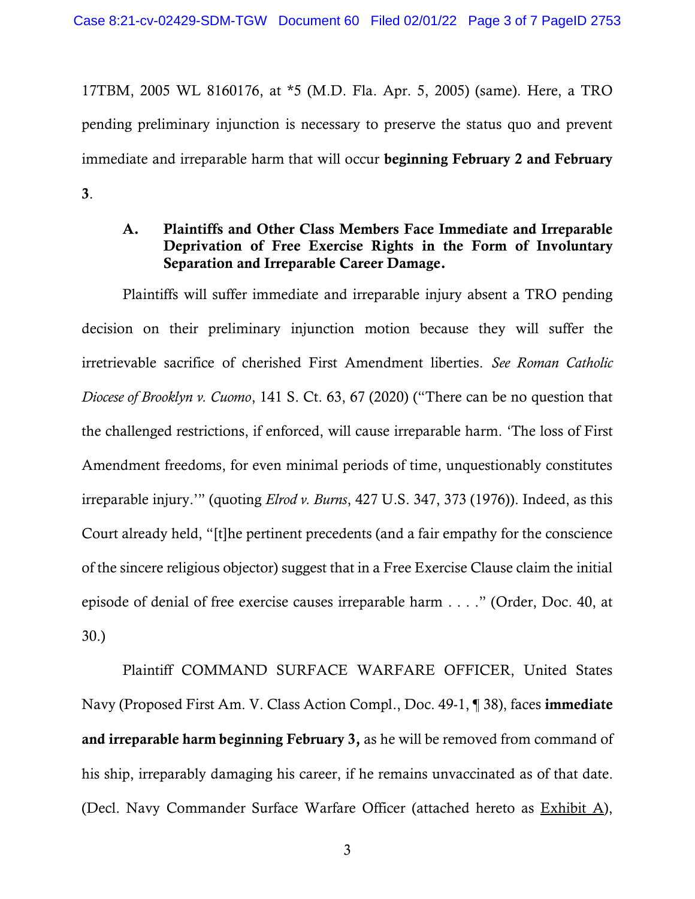17TBM, 2005 WL 8160176, at \*5 (M.D. Fla. Apr. 5, 2005) (same). Here, a TRO pending preliminary injunction is necessary to preserve the status quo and prevent immediate and irreparable harm that will occur beginning February 2 and February 3.

## A. Plaintiffs and Other Class Members Face Immediate and Irreparable Deprivation of Free Exercise Rights in the Form of Involuntary Separation and Irreparable Career Damage.

Plaintiffs will suffer immediate and irreparable injury absent a TRO pending decision on their preliminary injunction motion because they will suffer the irretrievable sacrifice of cherished First Amendment liberties. *See Roman Catholic Diocese of Brooklyn v. Cuomo*, 141 S. Ct. 63, 67 (2020) ("There can be no question that the challenged restrictions, if enforced, will cause irreparable harm. 'The loss of First Amendment freedoms, for even minimal periods of time, unquestionably constitutes irreparable injury.'" (quoting *Elrod v. Burns*, 427 U.S. 347, 373 (1976)). Indeed, as this Court already held, "[t]he pertinent precedents (and a fair empathy for the conscience of the sincere religious objector) suggest that in a Free Exercise Clause claim the initial episode of denial of free exercise causes irreparable harm . . . ." (Order, Doc. 40, at 30.)

Plaintiff COMMAND SURFACE WARFARE OFFICER, United States Navy (Proposed First Am. V. Class Action Compl., Doc. 49-1, ¶ 38), faces immediate and irreparable harm beginning February 3, as he will be removed from command of his ship, irreparably damaging his career, if he remains unvaccinated as of that date. (Decl. Navy Commander Surface Warfare Officer (attached hereto as Exhibit A),

3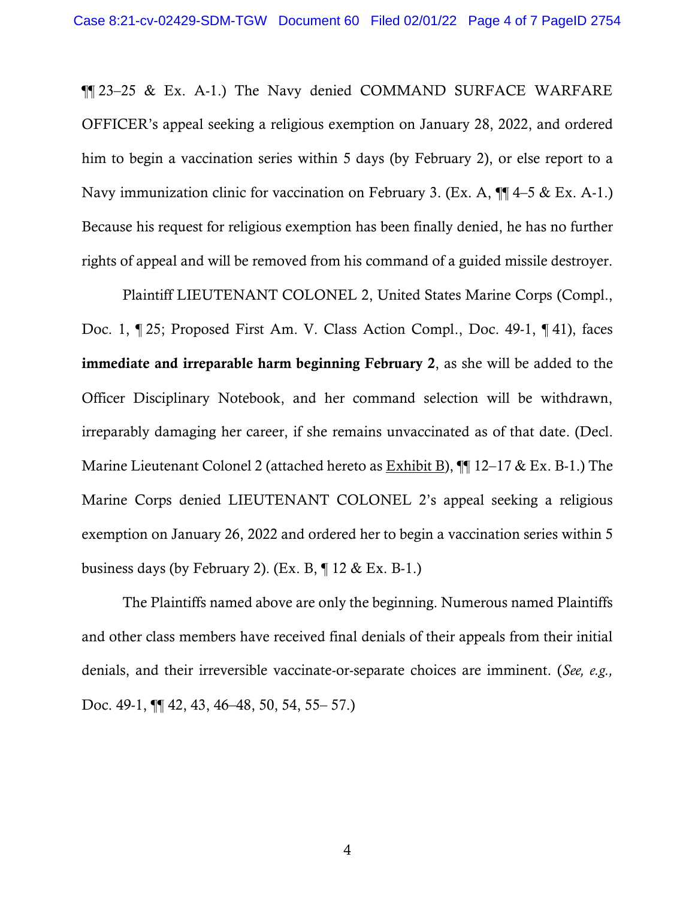¶¶ 23–25 & Ex. A-1.) The Navy denied COMMAND SURFACE WARFARE OFFICER's appeal seeking a religious exemption on January 28, 2022, and ordered him to begin a vaccination series within 5 days (by February 2), or else report to a Navy immunization clinic for vaccination on February 3. (Ex. A,  $\P$  $4$ –5 & Ex. A-1.) Because his request for religious exemption has been finally denied, he has no further rights of appeal and will be removed from his command of a guided missile destroyer.

Plaintiff LIEUTENANT COLONEL 2, United States Marine Corps (Compl., Doc. 1, ¶ 25; Proposed First Am. V. Class Action Compl., Doc. 49-1, ¶ 41), faces immediate and irreparable harm beginning February 2, as she will be added to the Officer Disciplinary Notebook, and her command selection will be withdrawn, irreparably damaging her career, if she remains unvaccinated as of that date. (Decl. Marine Lieutenant Colonel 2 (attached hereto as  $\underline{\text{Exhibit B}}$ ),  $\P$  12–17 & Ex. B-1.) The Marine Corps denied LIEUTENANT COLONEL 2's appeal seeking a religious exemption on January 26, 2022 and ordered her to begin a vaccination series within 5 business days (by February 2). (Ex. B,  $\P$  12 & Ex. B-1.)

The Plaintiffs named above are only the beginning. Numerous named Plaintiffs and other class members have received final denials of their appeals from their initial denials, and their irreversible vaccinate-or-separate choices are imminent. (*See, e.g.,*  Doc. 49-1, ¶¶ 42, 43, 46–48, 50, 54, 55– 57.)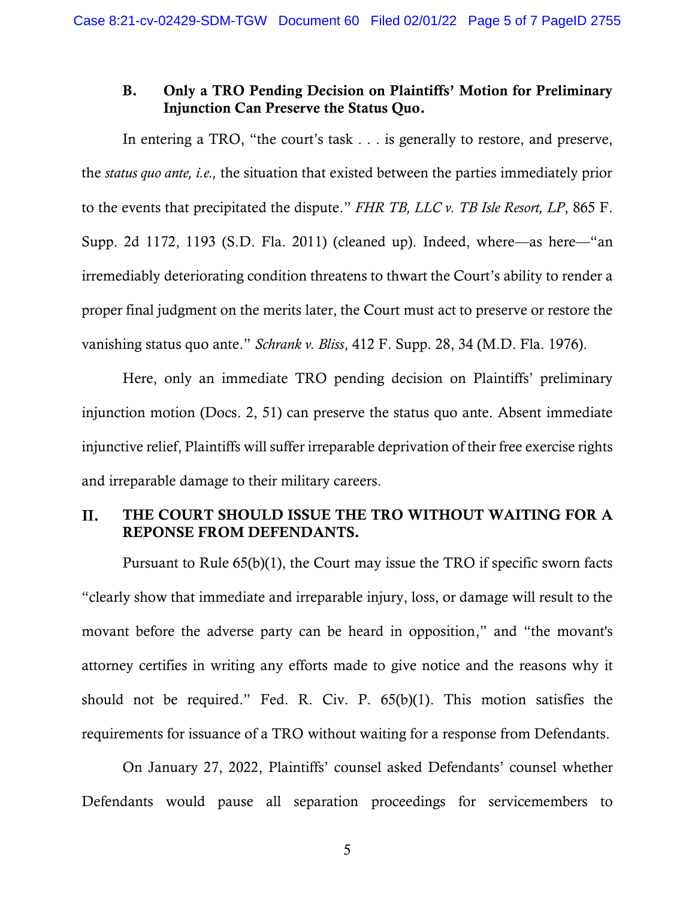#### B. Only a TRO Pending Decision on Plaintiffs' Motion for Preliminary Injunction Can Preserve the Status Quo.

In entering a TRO, "the court's task . . . is generally to restore, and preserve, the *status quo ante, i.e.,* the situation that existed between the parties immediately prior to the events that precipitated the dispute." *FHR TB, LLC v. TB Isle Resort, LP*, 865 F. Supp. 2d 1172, 1193 (S.D. Fla. 2011) (cleaned up). Indeed, where—as here—"an irremediably deteriorating condition threatens to thwart the Court's ability to render a proper final judgment on the merits later, the Court must act to preserve or restore the vanishing status quo ante." *Schrank v. Bliss*, 412 F. Supp. 28, 34 (M.D. Fla. 1976).

Here, only an immediate TRO pending decision on Plaintiffs' preliminary injunction motion (Docs. 2, 51) can preserve the status quo ante. Absent immediate injunctive relief, Plaintiffs will suffer irreparable deprivation of their free exercise rights and irreparable damage to their military careers.

#### II. THE COURT SHOULD ISSUE THE TRO WITHOUT WAITING FOR A REPONSE FROM DEFENDANTS.

Pursuant to Rule 65(b)(1), the Court may issue the TRO if specific sworn facts "clearly show that immediate and irreparable injury, loss, or damage will result to the movant before the adverse party can be heard in opposition," and "the movant's attorney certifies in writing any efforts made to give notice and the reasons why it should not be required." Fed. R. Civ. P. 65(b)(1). This motion satisfies the requirements for issuance of a TRO without waiting for a response from Defendants.

On January 27, 2022, Plaintiffs' counsel asked Defendants' counsel whether Defendants would pause all separation proceedings for servicemembers to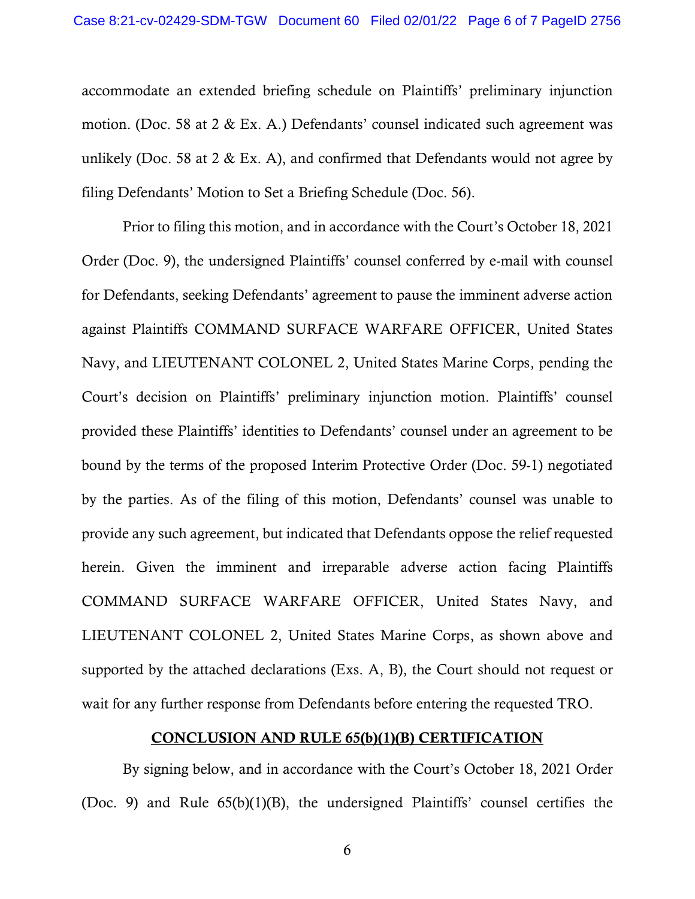accommodate an extended briefing schedule on Plaintiffs' preliminary injunction motion. (Doc. 58 at 2 & Ex. A.) Defendants' counsel indicated such agreement was unlikely (Doc. 58 at 2  $\&$  Ex. A), and confirmed that Defendants would not agree by filing Defendants' Motion to Set a Briefing Schedule (Doc. 56).

Prior to filing this motion, and in accordance with the Court's October 18, 2021 Order (Doc. 9), the undersigned Plaintiffs' counsel conferred by e-mail with counsel for Defendants, seeking Defendants' agreement to pause the imminent adverse action against Plaintiffs COMMAND SURFACE WARFARE OFFICER, United States Navy, and LIEUTENANT COLONEL 2, United States Marine Corps, pending the Court's decision on Plaintiffs' preliminary injunction motion. Plaintiffs' counsel provided these Plaintiffs' identities to Defendants' counsel under an agreement to be bound by the terms of the proposed Interim Protective Order (Doc. 59-1) negotiated by the parties. As of the filing of this motion, Defendants' counsel was unable to provide any such agreement, but indicated that Defendants oppose the relief requested herein. Given the imminent and irreparable adverse action facing Plaintiffs COMMAND SURFACE WARFARE OFFICER, United States Navy, and LIEUTENANT COLONEL 2, United States Marine Corps, as shown above and supported by the attached declarations (Exs. A, B), the Court should not request or wait for any further response from Defendants before entering the requested TRO.

#### CONCLUSION AND RULE 65(b)(1)(B) CERTIFICATION

By signing below, and in accordance with the Court's October 18, 2021 Order (Doc. 9) and Rule 65(b)(1)(B), the undersigned Plaintiffs' counsel certifies the

6